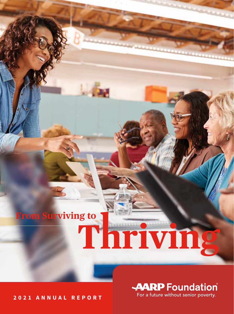## **From Surviving to**

# Thriving

**2021 ANNUAL REPORT**

**AARP** Foundation For a future without senior poverty.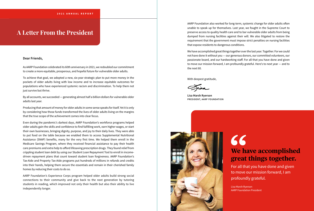#### **Dear Friends,**

As AARP Foundation celebrated its 60th anniversary in 2021, we redoubled our commitment to create a more equitable, prosperous, and hopeful future for vulnerable older adults.

To achieve that goal, we adopted a new, six-year strategic plan to put more money in the pockets of older adults living with low income and to increase equitable outcomes for populations who have experienced systemic racism and discrimination. To help them not just survive but thrive.

By all accounts, we succeeded — generating almost half a billion dollars for vulnerable older adults last year.

Producing that amount of money for older adults in some sense speaks for itself. Yet it is only by considering how those funds transformed the lives of older adults living on the margins that the true scope of the achievement comes into clear focus.

Even during the pandemic's darkest days, AARP Foundation's workforce programs helped older adults gain the skills and confidence to find fulfilling work, earn higher wages, or start their own businesses, bringing dignity, purpose, and joy to their daily lives. They were able to put food on the table because we enabled them to access Supplemental Nutritional Assistance (SNAP) benefits, many for the very first time. We helped them enroll in the Medicare Savings Program, where they received financial assistance to pay their health care premiums and extra help to afford lifesaving prescription drugs. They found relief from crippling student loan debt by using our Student Loan Repayment Tool to enroll in incomedriven repayment plans that count toward student loan forgiveness. AARP Foundation's Tax-Aide and Property Tax-Aide programs put hundreds of millions in refunds and credits into their hands, helping them secure the essentials and remain in their cherished family homes by reducing their costs to do so.

## 66 **We have accomplished great things together.**

AARP Foundation's Experience Corps program helped older adults build strong social connections to their community and give back to the next generation by tutoring students in reading, which improved not only their health but also their ability to live independently longer.

AARP Foundation also worked for long-term, systemic change for older adults often unable to speak up for themselves. Last year, we fought in the Supreme Court to preserve access to quality health care and to bar vulnerable older adults from being dumped from nursing facilities against their will. We also litigated to restore the requirement that the government must impose strict penalties on nursing facilities that expose residents to dangerous conditions.

We have accomplished great things together over the last year. Together. For we could not have done it without you — our generous donors, our committed volunteers, our passionate board, and our hardworking staff. For all that you have done and given to move our mission forward, I am profoundly grateful. Here's to next year — and to the next 60.

With deepest gratitude,

**Lisa Marsh Ryerson PRESIDENT, AARP FOUNDATION**



For all that you have done and given to move our mission forward, I am profoundly grateful.

Lisa Marsh Ryerson AARP Foundation President

## **A Letter From the President**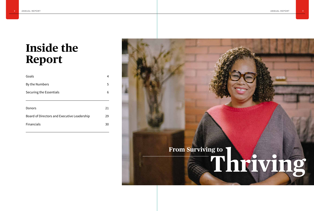## **Inside the Report**

| Goals                                       | 4  |
|---------------------------------------------|----|
| By the Numbers                              | 5  |
| Securing the Essentials                     | 6  |
|                                             |    |
| Donors                                      | 21 |
| Board of Directors and Executive Leadership | 29 |
| <b>Financials</b>                           | 30 |
|                                             |    |

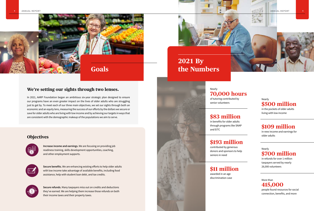## **We're setting our sights through two lenses.**

In 2021, AARP Foundation began an ambitious six-year strategic plan designed to ensure our programs have an even greater impact on the lives of older adults who are struggling just to get by. To meet each of our three main objectives, we set our sights through both an economic and an equity lens, measuring the success of our efforts by the dollars we secure or save for older adults who are living with low income and by achieving our targets in ways that are consistent with the demographic makeup of the populations we aim to serve.

> **Increase income and earnings.** We are focusing on providing job readiness training, skills development opportunities, coaching, and other employment supports.



**Secure benefits.** We are enhancing existing efforts to help older adults with low income take advantage of available benefits, including food assistance, help with student loan debt, and tax credits.





**Secure refunds.** Many taxpayers miss out on credits and deductions they've earned. We are helping them increase those refunds on both their income taxes and their property taxes.





## **Goals**

## Nearly **\$500 million**

in the pockets of older adults living with low income

## Nearly **\$700 million**

in refunds for over 1 million taxpayers served by nearly 26,000 volunteers

More than **415,000** people found resources for social connection, benefits, and more

Nearly **70,000 hours** of tutoring contributed by senior volunteers

## **\$83 million** in benefits for older adults through programs like SNAP and EITC

**\$193 million** contributed by generous donors and sponsors to help seniors in need

**\$11 million** awarded in an age discrimination case

## **\$109 million**

in new income and earnings for older adults

## **Objectives**

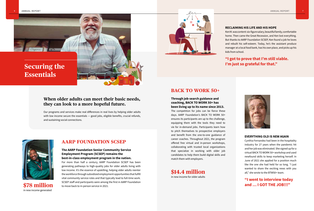





## **When older adults can meet their basic needs, they can look to a more hopeful future.**

Our programs and services make real differences in real lives by helping older adults with low income secure the essentials  $-$  good jobs, eligible benefits, crucial refunds, and sustaining social connections.

#### **RECLAIMING HIS LIFE AND HIS HOPE**

Ken M. was content: six-figure salary, beautiful family, comfortable home. Then came the Great Recession, and Ken lost everything. But thanks to AARP Foundation SCSEP, Ken found a job he loves and rebuilt his self-esteem. Today, he's the assistant produce manager at a local food bank, has his own place, and picks up his kids from school.

## **"I got to prove that I'm still viable. I'm just so grateful for that."**



#### **EVERYTHING OLD IS NEW AGAIN**

Cynthia Fernandez had been in the hospitality industry for 27 years when the pandemic hit and her job was eliminated. She signed up for a virtual BACK TO WORK 50+ workshop and used newfound skills to keep marketing herself. In June of 2021 she applied for a position much like the one she had held for so long. "I just wanted to share the exciting news with you all," she wrote to the BTW50+ team.

## **"I went to interview today and … I GOT THE JOB!!!"**

## **AARP FOUNDATION SCSEP**

#### **The AARP Foundation Senior Community Service Employment Program (SCSEP) remains the best-in-class employment program in the nation.**

For more than half a century, AARP Foundation SCSEP has been generating pathways to high-quality jobs for older adults living with low income. It's the essence of upskilling, helping older adults reenter the workforce through subsidized employment opportunities that fulfill vital community service roles and that typically lead to full-time work. SCSEP staff and participants were among the first in AARP Foundation to move back to in-person service in 2021.

## **BACK TO WORK 50+**

**Through job-search guidance and coaching, BACK TO WORK 50+ has been living up to its name since 2013.**

The competition for jobs can be fierce these days. AARP Foundation's BACK TO WORK 50+ ensures its participants are up to the challenge, equipping them with the tools they need to vie for in-demand jobs. Participants learn how to pitch themselves to prospective employers and benefit from the one-to-one guidance of career coaches. Throughout 2021, the program offered free virtual and in-person workshops, collaborating with trusted local organizations that specialize in working with older job candidates to help them build digital skills and match them with employers.



**\$78 million** in new income generated

**\$14.4 million** in new income for older adults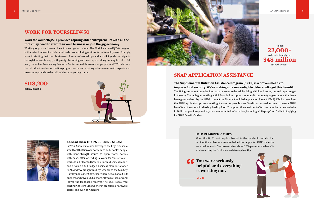## **WORK FOR YOURSELF@50+**

#### **Work for Yourself@50+ provides aspiring older entrepreneurs with all the tools they need to start their own business or join the gig economy.**

Working for yourself doesn't have to mean going it alone. The Work for Yourself@50+ program is that friend indeed for older adults who are exploring options for self-employment, from gig work to starting their own businesses. A series of workshops and a toolkit guide participants through five simple steps, with plenty of coaching and peer support along the way. In its first full year, the online Freelancing Resource Center served thousands of people, and 2021 also saw the introduction of an incubation program to connect aspiring entrepreneurs with experienced mentors to provide real-world guidance on getting started.

**\$118,200** in new income





#### **A GREAT IDEA THAT'S BUILDING STEAM**

In 2015, Andrew Ziccardi developed the Ergo Opener, a small tool that fits over bottle caps and enables people with hand-strength issues to open water bottles with ease. After attending a Work for Yourself@50+ workshop, he learned how to refine his business model and develop a full-fledged business plan. In October 2021, Andrew brought his Ergo Opener to the Sun City Huntley Consumer Showcase, where he sold about 100 openers and gave out 300 more. "It was all seniors and I loved the feedback I received," he says. Today, you can find Andrew's Ergo Opener in drugstores, hardware stores, and even on Amazon!







## **SNAP APPLICATION ASSISTANCE**

**The Supplemental Nutrition Assistance Program (SNAP) is a proven means to improve food security. We're making sure more eligible older adults get this benefit.** The U.S. government provides food assistance for older adults living with low income, but red tape can get in the way. Through grantmaking, AARP Foundation supports nonprofit community organizations that have been given waivers by the USDA to enact the Elderly Simplified Application Project (ESAP). ESAP streamlines the SNAP application process, making it easier for people over 60 with no earned income to receive SNAP benefits so they can afford to buy healthy food. To support the enrollment effort, we launched a new website in 2021 that provides practical, consumer-oriented information, including a "Step-by-Step Guide to Applying for SNAP Benefits" video.

**HELP IN PANDEMIC TIMES** 

When Mrs. B., 62, not only lost her job to the pandemic but also had her identity stolen, our grantee helped her apply for SNAP while she searched for work. She now receives about \$200 per month in benefits so she can buy the food she needs to stay healthy.

66 You were seriously helpful and everything is working out.

Mrs. B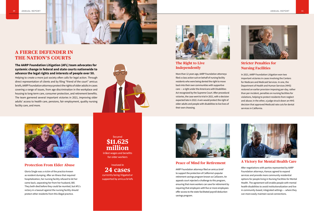**The AARP Foundation Litigation (AFL) team advocates for systemic change in federal and state courts nationwide to advance the legal rights and interests of people over 50.**

Helping to create a more just society often calls for legal action. Through direct representation of clients and by filing "friend of the court" amicus briefs, AARP Foundation attorneys protect the rights of older adults in cases covering a range of issues, from age discrimination in the workplace and housing to long-term care, consumer protection, and retirement benefits. The team garnered several important victories in 2021, improving older adults' access to health care, pensions, fair employment, quality nursing facility care, and more.







## **A FIERCE DEFENDER IN THE NATION'S COURTS**

#### **Protection From Elder Abuse**

Gloria Single was a victim of the practice known as resident dumping. After an illness that required hospitalization, her nursing facility refused to let her come back, separating her from her husband, Bill. They both died before they could be reunited, but AFL's victory in a lawsuit against the nursing facility should protect other residents from this illegal practice.

\$11.625 million in lost wages and benefits for older workers

Secured

Involved in 24 cases currently being litigated or

supported by amicus briefs



### **The Right to Live Independently**

More than 12 years ago, AARP Foundation attorneys filed a class action suit on behalf of nursing facility residents who were being denied the right to move back into their own communities with supportive care — a right under the Americans with Disabilities Act recognized by the Supreme Court. After procedural victories, the case went to trial in 2021, with a decision expected late in 2022. A win would protect the right of older adults and people with disabilities to live lives of their own choosing.



#### **Peace of Mind for Retirement**

AARP Foundation attorneys filed an amicus brief to support the protection of California's popular retirement savings program known as CalSavers. An appeals court rejected a challenge to this program, ensuring that more workers can save for retirement by requiring that employers with five or more employees offer access to the state-facilitated payroll deduction savings program.





## **Stricter Penalties for Nursing Facilities**

In 2021, AARP Foundation Litigation won two important victories in cases involving the Centers for Medicare and Medicaid Services. In one, the Department of Health and Human Services (HHS) restored an earlier provision imposing per-day, rather than per-incident, penalties on nursing facilities for violations, helping to protect residents from neglect and abuse; in the other, a judge struck down an HHS decision that approved Medicaid rate cuts for dental services in California.



### **A Victory for Mental Health Care**

After negotiations with parties represented by AARP Foundation attorneys, Kansas agreed to expand services and provide more community residential options for people living in Nursing Facilities for Mental Health. The agreement will enable people with mental health disabilities to avoid institutionalization and live in community-based, integrated settings — where they can more easily maintain social connections.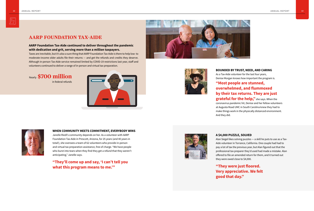#### **BOUNDED BY TRUST, NEED, AND CARING**

As a Tax-Aide volunteer for the last four years, Denise Morgan knows how important the program is.

## **"Most people are stunned, overwhelmed, and flummoxed by their tax returns. They are just grateful for the help,"** she says. When the

coronavirus pandemic hit, Denise and her fellow volunteers at Augusta Road UMC in South Carolina knew they had to make things work in the physically distanced environment.

And they did.



#### **A \$4,000 PUZZLE, SOLVED**

Alan Siegel likes solving puzzles — a skill he puts to use as a Tax-Aide volunteer in Torrance, California. One couple had had to pay a lot of tax the previous year, but Alan figured out that the professional tax preparer they'd used had made a mistake. Alan offered to file an amended return for them, and it turned out they were owed close to \$4,000.

## **"They were just floored. Very appreciative. We felt good that day."**



## **AARP FOUNDATION TAX-AIDE**

#### **AARP Foundation Tax-Aide continued to deliver throughout the pandemic with dedication and grit, serving more than a million taxpayers.**

Taxes are inevitable, but it's also a sure thing that AARP Foundation Tax-Aide is there to help low- to moderate-income older adults file their returns — and get the refunds and credits they deserve. Although in-person Tax-Aide service remained limited by COVID-19 restrictions last year, staff and volunteers continued to deliver a range of in-person and virtual tax preparation.

Nearly **\$700 million**  in federal refunds







#### **WHEN COMMUNITY MEETS COMMITMENT, EVERYBODY WINS**

Janelle Riedl's community depends on her. As a volunteer with AARP Foundation Tax-Aide in Prescott, Arizona, for 25 years (and 40 years in total!), she oversees a team of 62 volunteers who provide in-person and virtual tax preparation assistance, free of charge. "We have people who burst into tears when they find they get a refund that they weren't anticipating," Janelle says.

**"They'll come up and say, 'I can't tell you what this program means to me.'"**

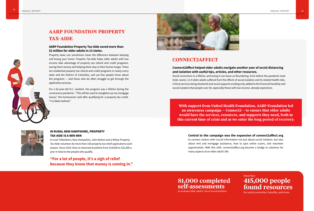## **AARP FOUNDATION PROPERTY TAX-AIDE**

#### **AARP Foundation Property Tax-Aide saved more than \$2 million for older adults in 13 states.**

Property taxes can sometimes mean the difference between keeping and losing your home. Property Tax-Aide helps older adults with low income take advantage of property tax refund and credit programs, saving them money and helping them stay in their homes longer. There are residential property tax refund and credit programs in nearly every state and the District of Columbia, and yet few people know about the programs — and those who do often struggle to get through the application process.

For a 62-year-old D.C. resident, the program was a lifeline during the coronavirus pandemic. "This will be used to straighten up my mortgage issues," the homeowner said after qualifying for a property tax credit. "I've fallen behind."



#### **IN RURAL NEW HAMPSHIRE, PROPERTY TAX-AIDE IS A WIN-WIN**

In rural Tuftonboro, New Hampshire, John Bolton and a fellow Property Tax-Aide volunteer do more than 100 property tax relief applications each season. Since 2019, they've returned anywhere from \$18,000 to \$22,000 a year in total to the people who qualify.

**"For a lot of people, it's a sigh of relief because they know that money is coming in."**

## **Connect2Affect helped older adults navigate another year of social distancing**

**and isolation with useful tips, articles, and other resources.**

Social connection is a lifeline, and losing it can leave us floundering. Even before the pandemic took hold, nearly 1 in 4 older adults suffered from the effects of social isolation and its related health risks. Critical services being shuttered and social supports eroding only added to the financial hardship and social isolation that people over 50, especially those with low income, already experience.

With support from United Health Foundation, AARP Foundation led an awareness campaign  $-$  Connect  $2$  – to ensure that older adults would have the services, resources, and supports they need, both in this current time of crisis and as we enter the long period of recovery.



## **Central to the campaign was the expansion of connect2affect.org**

to connect visitors with crucial information not just about social isolation, but also about rent and mortgage assistance, how to spot online scams, and volunteer opportunities. With this shift, connect2affect.org became a bridge to solutions for many aspects of an older adult's life.

## **CONNECT2AFFECT**



More than **415,000 people found resources**

for social connection, benefits, and more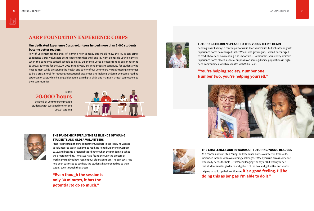#### **TUTORING CHILDREN SPEAKS TO THIS VOLUNTEER'S HEART**



Reading wasn't always a central part of Willie Jean Vance's life, but volunteering with Experience Corps has changed that. "When I was growing up, I wasn't encouraged to read. I have seen how reading is so important … without [it], you're very limited." Experience Corps places a special emphasis on serving diverse populations in highneed communities, which resonates with Willie Jean.

## **"You're helping society, number one. Number two, you're helping yourself."**



#### **THE CHALLENGES AND REWARDS OF TUTORING YOUNG READERS**

As a cancer survivor, Stan Young, an Experience Corps volunteer in Evansville, Indiana, is familiar with overcoming challenges. "When you run across someone who really needs the help — that's challenging," he says. "But when you see that student is willing to learn and get out of the box and get better and you're helping to build up their confidence, **it's a good feeling. I'll be doing this as long as I'm able to do it."**



## **AARP FOUNDATION EXPERIENCE CORPS**

#### **Our dedicated Experience Corps volunteers helped more than 2,000 students become better readers.**

Few of us remember the thrill of learning how to read, but we all know the joy it can bring. Experience Corps volunteers get to experience that thrill and joy right alongside young learners. When the pandemic caused schools to close, Experience Corps pivoted from in-person tutoring to virtual tutoring for the 2020–2021 school year, ensuring program continuity for students who need it most while preserving the health and safety of our volunteers. Virtual tutoring continues to be a crucial tool for reducing educational disparities and helping children overcome reading opportunity gaps, while helping older adults gain digital skills and maintain critical connections to their communities.

Nearly **70,000 hours**  devoted by volunteers to provide students with sustained one-to-one virtual tutoring





#### **THE PANDEMIC REVEALS THE RESILIENCE OF YOUNG STUDENTS AND OLDER VOLUNTEERS**

After retiring from the fire department, Robert Rouse knew he wanted to volunteer to teach students to read. He joined Experience Corps in 2013, and became a regional coordinator when the pandemic pushed the program online. "What we have found through the process of working virtually is how resilient our older adults are," Robert says. And he's been surprised to see how the students have opened up to their tutors, even through the screen.

**"Even though the session is only 30 minutes, it has the potential to do so much."** 



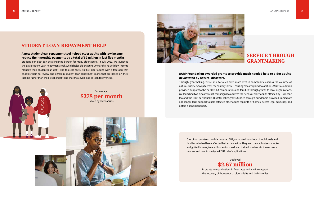

#### **AARP Foundation awarded grants to provide much needed help to older adults devastated by natural disasters.**

Through grantmaking, we're able to touch even more lives in communities across the country. As natural disasters swept across the country in 2021, causing catastrophic devastation, AARP Foundation provided support to the hardest-hit communities and families through grants to local organizations. We launched two disaster relief campaigns to address the needs of older adults affected by Hurricane Ida and the Haiti earthquake. Disaster relief grants funded through our donors provided immediate and longer-term support to help affected older adults repair their homes, access legal advocacy, and obtain financial support.

## **SERVICE THROUGH GRANTMAKING**

On average, **\$278 per month** saved by older adults



One of our grantees, Louisiana-based SBP, supported hundreds of individuals and families who had been affected by Hurricane Ida. They and their volunteers mucked and gutted homes, treated homes for mold, and trained survivors in the recovery process and how to navigate FEMA relief applications.



in grants to organizations in five states and Haiti to support the recovery of thousands of older adults and their families

## **STUDENT LOAN REPAYMENT HELP**

#### **A new student loan repayment tool helped older adults with low income reduce their monthly payments by a total of \$2 million in just five months.**

Student loan debt can be a lingering burden for many older adults. In July 2021, we launched the Savi Student Loan Repayment Tool, which helps older adults who are living with low income manage their student loan debt. The tool connects eligible older adults with a free app that enables them to review and enroll in student loan repayment plans that are based on their income rather than their level of debt and that may even lead to loan forgiveness.

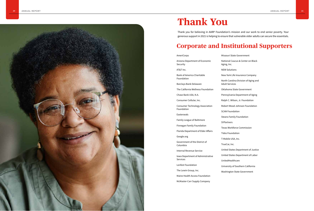

| AmeriCorps                                           | Mi                   |
|------------------------------------------------------|----------------------|
| Arizona Department of Economic<br>Security           | Na<br>Ag             |
| AT&T Inc.                                            | ΝI                   |
| <b>Bank of America Charitable</b><br>Foundation      | N٥<br>N <sub>0</sub> |
| Barclays Bank Delaware                               | Ac                   |
| The California Wellness Foundation                   | Ol                   |
| Chase Bank USA, N.A.                                 | Pe                   |
| Consumer Cellular, Inc.                              | Ra                   |
| <b>Consumer Technology Association</b><br>Foundation | Ro                   |
| Easterseals                                          | S(                   |
| Family League of Baltimore                           | St                   |
| <b>Finnegan Family Foundation</b>                    | $S\lambda$           |
| Florida Department of Elder Affairs                  | Te                   |
| Google.org                                           | Ti<br>T-             |
| Government of the District of<br>Columbia            | Tr                   |
| Internal Revenue Service                             | Uı                   |
| Iowa Department of Administrative<br><b>Services</b> | Uı                   |
| Lenfest Foundation                                   | Uı                   |
| The Lewin Group, Inc.                                | Uı                   |
|                                                      | W                    |
| Maine Health Access Foundation                       |                      |
| McMaster-Carr Supply Company                         |                      |

- Missouri State Government
- National Caucus & Center on Black ging, Inc.
- **IEW Solutions**
- Iew York Life Insurance Company
- Iorth Carolina Division of Aging and Adult Services
- Oklahoma State Government
- Pennsylvania Department of Aging
- alph C. Wilson, Jr. Foundation
- obert Wood Johnson Foundation
- **CAN Foundation**
- teans Family Foundation
- YPartners
- Texas Workforce Commission
- ides Foundation
- -Mobile USA, Inc.
- rueCar, Inc.
- United States Department of Justice
- United States Department of Labor
- UnitedHealthcare
- University of Southern California
- Washington State Government

## **Thank You**

Thank you for believing in AARP Foundation's mission and our work to end senior poverty. Your generous support in 2021 is helping to ensure that vulnerable older adults can secure the essentials.

## **Corporate and Institutional Supporters**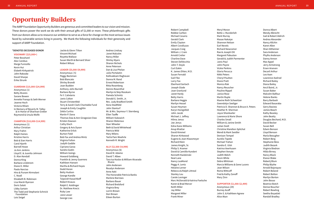#### **\*DENOTES DECEASED DONOR**

#### **VISIONARY (\$25,000+)**

Peter Bosshard Alex Carobus Marge Funicello Kevin Hui Elsbeth Kirkpatrick John Rakoske David Sharpe Erika Strunk

#### **GUARDIAN (\$15,000-\$24,999)**

Anonymous (1) Betty Alvares Sarane Bowen Annette Franqui & Seth Werner Jeanne Hoch Victoria Milam In Memory of Beverly M. Talley & In Honor of Sharman Greber Raymond & Ursula Wolfe

#### **CHAMPION (\$10,000-\$14,999)**

Anonymous (1) Arthur Christian Mary Frahm Ralph Haines Kristine Harris Bob & Sian Harris Carol Hjorth Barnell Howe Jo Ann Jenkins Lloyd E. & Juanita Johnson D. Alan Kendall Donna King Barbara Lindstrom Diane D. Miller Paolo Narciso Hiro & Punam Nirmalani C. Noall Elizabeth B. Robinson Lisa Marsh Ryerson Doris Salati Libby Sartain The Todd and Stephanie Schnick Foundation Lois Seigel

Jackie & Glenn Tilton Vincent Michael Royetta Wallace Susan Werth & Bernard Silver Robert Wilusz

#### **LEADER (\$5,000-\$9,999)**

Anonymous ( 5)

Peggy Beckman Bob Blancato Shirley Brandt Joan Budden Anthony John Burnell Barbara Byrne Fe Y. Calixterio Janis Calton Stuart Christenfeld Terry & Sarah Clark Charitable Fund Joseph & Emily Coughlin Zelda Curtiss Martin P. Dana Thomas Daw & Ann Giragosian Daw Kristen Dawson Cathy Disch Gregory & Avis Dyson Katherine Erlick Burton Field Bob Fox and Andrea Mintz Virginia Fulton Judyth Gaddie Cipriano Garza Sandra Godin William Goings Howard Goldberg Franklin & Jenny Guerrero Kathleen Hansen Martha & Richard Hayes Dodd Horan Betty Hudson George Kandle Tziporah Kasachkoff Robert Knauss Ralph E. Koldinger Dr. Matthew Krecic Ruby Law Jane Lesser George Liao

Andrea Lindsay Janet Malcolm Nancy Miller Shirley Myers Sharon Nichols Anne Peterson Dan & Lisa Phelan Julio Portalatin Kollivakkam Raghavan Donna M. Rand Ernest Robertson Ritta Rosenberg Dennis Rosenthal Marilyn & Skip Rosskam Pamela Schmitz Donald G. Smith, Jr. Rev. Judy Bradford Smith Ilona Stadtfeld John Stanturf Mr. & Mrs. Seymour Y. Sternberg Ellen Taaffe William Vukowich Sharon Waterous Starr Wheeler Beth & David Whitehead Patricia Wild Mary Wilens Ted & Pam Woehrle Kenneth R. Wright

#### **ALLY (\$2,500-\$4,999)**

Anonymous (6) David M. Adame David T. Albee Tara Isa Koslov & William Alvarado Rivera John Andersen Rosalyn Anderson Anne Aoki The Honorable Patricia Banks Marlene Barrows Barbara Bauer Richard Brelsford Virginia Brey Lorrin Brown Dori Brown Eileen Burton

Robert Campbell Robbie Carlton Michael Cesario Gerald Clark Emily Clayton Albert Coralluzzo Jacques Craig William J. Crain Arnold Crelier Charline Dave Steven DelVecchio John T. Doyle Curt Eakin K. James Ehlen, M.D. Susan Fernald Gail Fike Larry Fox Eberhard Gerlach Joseph Glade Joan Granlund Janet Hardy Betty Harris Barbara Heggie Marilyn Hessel Susan Heyman Karyn Honigsfeld John Jacob Michael J. Jeffrey Hilma Jenus Joe Jenus Edna Kane-Williams Anup Khattar David Kimmel Sharon Kirkwood Eugene & Joan Klaasmeyer Richard Klein James Knight, Sr. Philip S. Kramer David & Camiille Kundert Kenneth Kwidzinski Neal Lane Nancy LeaMond Peggy A. Lentz Helaine Lerner Rebecca & Ralph Littreal Stanley Lou Carole Lovinger Marc McDonald & Katrina Foelsche Karen & Brad Mercer Keith Miller Jay Miller Margaret Miller Frank Miner

Meryl Moran Bette J. Munderloh Mark Murray Masao Nakaiye Shannon Nelson Earl Nevels Richard Newcomer Rae & Joseph Ott Margaret Pabustan Gerald & Judith Parmenter Janis Paul John Payne Vickie Perkins Gloria Perucca Nikki Peters Cheryl Poulton Diane Pratt Monica Rak Nancy Reuscher Pauline Rippel Janice Rose Martin Ruple Maxine Roth Schweitzer Gwendolyn Seeliger Patricia D. Shannon & Bruce A. Peters Heather R. Sherman Joyce Shonkwiler Lawrence & Marie Shore Charles Small William & Janine Smith Julian Snell Christine Mandion-Splichal Wendi & Mark Swidler Denison Tempel Aurelio Topete Michael Trahan Sandra E. Ulsh Katrina Veerhusen Stephen Venute Judith Welch Kevin White Debra Whitman Marcia Williams & Gene Lucero Jean Wilson Roma Wittcoff Fred & Kathy Zanoff Mary Zinn **SUPPORTER (\$1,000-\$2,499)** Anonymous (29)

Burney Acoff John S. & Kathleen Agnew Alice Akan

Donna Albert Wendy Albrecht Gail & Robert Aldrich Andrea Alexander Nancy Allchin Karen Allen Shari Altheimer Sara Anderson Phylhs Anderson Danny Annon Max Appel Jerry Armstrong Ersen Arseven Decarli Arthur Leo Asen Lawrence Axelrod Richard Bailey Diana Bailey Ancil Baird, Jr. Susan Baker Malcolm Balfour Helene Banks Barry Barbash Edward Basaraba Gerry Basista James Beach Kathy Beasley John Beatty Douglas Bechard, M.D. David Becker Susan Bell Edwin Benson Lloyd Benson Marla Beougher Robert Berg Stephanie Bess Judith Bezark Virginia Biedron Hilda Birney Nancy Black Elanor Blake Robertj Blum Philip Blythe Arnold Bojorquez Robert Boland Robert Bolton Marilyn Borton John Bosso Beatrice Botch Denise Boucher Robert Bowling Seetha Boyadati Randall Bradley

## **Opportunity Builders**

The AARP Foundation Opportunity Builders are generous and committed leaders to our vision and mission. These donors power the work we do with their annual gifts of \$1,000 or more. These philanthropic gifts from our donors allow us to resource our ambition to serve as a force for change on the most serious issues faced by vulnerable seniors living in poverty. We thank the following individuals for their generosity and support of AARP Foundation.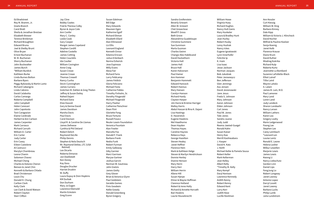Ed Bradstreet Roy M. Bramm, Jr. Gisela Branch Carol Bratt Sheila & Jonathan Breslaw Elizabeth Brewer Terence Brinkman Richard Broughton Edward Bruno Joel & Shelby Brunt Olive Bryan Ernest Buchanan W. M. Buchanan Sherry Buchanan John Buckwalter James Burch \*William Burdick Kathleen Burke Linda Burnes Bolton Barbara Byars Peggy Bykowsky & Martin Lantz Richard Cabangcla Linda Cabrera David Calabotta Carlos Camargo Roberta Campbell John Campbell Helen Canevari John Capotosto Toni Caragozian Elaine Cardinale Herbert & Ann Carlson James Carpenter Mark Carrasco Richard Carruth William D. Carter Eric Carter Judy Carter Erin Casey Eileen Castolene Al Castrucci Marylyn Chambreau Leona Chanin Solomon Chavez Michael Cheng Charles & Dolores Cheron Benson & Janet Chin Kenneth & Barbara Chlada Brad Christenson Louis Chu Donald H. Chung Carlton Clark Kelly Clark Lee Clark & David Watson Robert Clayton Starr Clifton

Jay Cline Bobby Coates Fred & Theresa Colby Byron & Joyce Cole Ann Confer Mary C. Conley Leslie Cook Gary Cooper Margot James Copeland Stephen Cordill Adeline Costello James Cotting Helen Couclelis Ida Coulter William Covington Anne Craig Susan Crowe Jeanne Crowe Thomas Crowell Nancy Cunha Devin Cunningham James Currans Gretchen M. Dahlen & Greg Thelen Jeffrey & Susan Dailey Nahed Dajani Richard Dana Elsie Dascoli Gary & Denise David James Davidson Marsha Davis Paul Davis Carol Davison Lloyd R. & Caroline De Llamas James Defreese Cynthia & Phil Deland Robert Delich Raymond DeLille Philip Dennis Stephen & Nola Deutsch Mr. Raymond DeVoe, LTC (USA Retired) Leo Dicarlo Roberta Dimarzo Jon Doellstedt Ken Doney Kay Doss Douglas Drucker Harriet Druskin W. Duffy Laura Dupuy & Oren Hopkins KM Durbak Don Durham Mary Jo Eagen Lawrence Ebersold Martin Eckstein Greg Econn

Susan Edelman Bill Edge Mary Edwards Maureen Egen Katherine Egolf Richard Ekman Elizabeth Ellard Alan Ellinwood Liz Ellis Leonard England Kenneth Ennor Edanna Ericson Julius Erlenbach Norma Esherick Jose Espinoza Willy Evans Alexa Fair Richard Faria Larry Feldcamp James Feldick Gloria Feliciano Michael Festa Catherine Fiddes Timothy Finholm, Sr. Dorothy Fitsgerald Michael Fitzgerald Harry Flasher Catherine Fleischner Dean Flint Gloriette Fong Bruce Fortune Russell Foszcz Reuler-Lewin Foundation Veronica Fountain Alan Fowler Marcella Fox Donald F. Frank Barbara Frank Nedra Funk Robert Furman Emily Galloway Giby Garnier Marci Garrison Maryse Gartner Joshua Garvin Norman W. Gautreau John Giatzis James Gielty Grey Glover Brian & Veronica Glynn Paul Goldstein Geraldo Gomes Finis Goodwin Kellie Gowdy Donald Greenberg Byron Gregory

Sandra Greifenstein Beverly Griesert Allen W. Griesert Chet Groseclose Woolf P. Gross Beth Grove Alexandrina Guadeloupe Christine Gummere Sue Gunnison Marta Guzman Charles Gwinn Changiz Alex Habibvand David Hackathorn Victoria Hall James Hall Bruce Hall Karen Halvorsen Paul Hamer Ann Hammer Benjamin Hammett Edward Hancock Robert Hannus Mary Hansen Carolyn Hanson Richard Hardy Clayton Harper Jim Harre & Kristine Harriger Malloy Harris Abdul Hassan & Rina K. Dajani Lisa Hastings D. Haverstick Eugene Hawkins Mel Hawthorne Dean Hayden Thomas Hayes Caroline Haynes Rebecca Hays George Hazelton Steven Healey Janet Heffner Florence Hein Mark & Kathleen Helge Steven & Marilyn Hendrickson Donnie Henley Dianne Henson Mary Herin Harry Herr William Herrin Allene Hill Susan Hjerpe Elinor & Wayne Hoffman Clarence Holland Robert & Irene Holly Richard & Annette Horvath Bari Hoskins Laurie Houseknecht

William Howe Virginia Huey Richard Hughes Nancy Hult Ganis Mary Hunkeler Laura & Bradley Hunt Jean Hurley Robert Husby Leroy Hushak Nancy Ickes Eugene Ignatowski Lynn Innerhofer Felicitie Ip K. Irwin Lisa Isaac Jesse Jackson Norman Jacques Bob Jukubiak Peter Jarosewycz Ben Jefferson Glen Jennings Ava Jensen David Jesionowski Jane Jesus Freda S. Johnson Mary Johnson Aaron Johnson Elden Johnson Carl Jones Paul W. Jones Tobi Jones Sandra Juarez Judy Judd Reema Jweied-Guegel Ronald Kahn Susan Kaiser Henry Kao Merrill Kashiwabara J. Kasper David K. Katz J. Keith Michael Keller & Pamela Sousa Robert Keller Mark Kellerman Jean Kelley Albert Kelly \*Timothy M. Kelly Mary Kempf Daryl Kenison Lawrence Kennedy Ardith Kenny Robert Kenny Edward Kent Larry Kerr Judith Kese Lucille Kesilman

Ann Kessler Curt Kiessig William W. King Barbara Kinney Dale Kipp William & Victoria J. Klinchock David Kocher Wilfred & Pauline Koelzer Sonja Koenig Janet Kolb Florence Krause Diane Krum David Kufner Miodrag Kukrika Richard Kulp Roberta Kurtz Jeannette La Bombard Suzanne LaFollette-Black Elliot Lainof Tillie Laird Wayne Laitala A. Lalain James B. Lam, M.D. Paul Lamoree Mary Land Loren Land Judy Landeck Sharon Landwehr Nancy Larson William Lathers Karen Lea Gregory Leahy Marie Ledgerwood Foong Lee Stephen Lee Carey Leimbach \*Leonard Len Louise Lentz Ronald E. Leone Helena Lesher Wilbur Lewellen Marjorie Lewis James Lewis Kwong Li Nancy Liebschutz Gordon Linn Daniel Lips FengJung Lo Robert Longway Janet Looney Antonio Lopez Darryl Lovett Janet Lowrey Barbara Lucks Philip Lumb Julia Lundstrom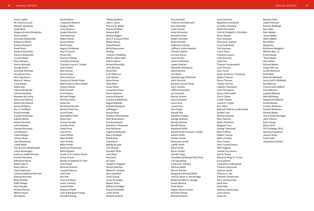Grant Lupher Ms. Patricia Lynch Stewart MacAulay Coral Mack Gregory & Anna Mackenzie Dianna Maier Armando Maldonado Katherine Mance Andrea Maneschi David Mann Barbara Marchello Patricia Markowski Connie Marler Mary Marques Marcia Marshall George Martin Armando Martinez Terrylynne Marx Mei-Ling Mason Melvin K. Matsui Carol Maxon Debra May Edward McAllister Johnnie McBride Maureen McCarthy Melvin McClelland Robert McClelland Randy McHenry Mrs. G. McMillan Ernest McNabb Claudia McNamee Daksha Mehta Robert Meissner John Meloney Damian Menscher Jim Messano Frank Metzger Jimmy Meyer Joel Michaelsen Judith Miller Don & Claire Mittelstaedt Julius Mondragon Harley & Judith Monson Ernesto Montalvo Nathaniel Moore Robert Morris Nancy Morris James Morrison Carlos & Deborah Morrison Edward Morrison Betty Mueller Edith Multop Mary Murphy Michael Murray William Myers Neil Myntti

David Nelson Cassandra Newkirk Gregory Nieto Jerry Niiyama Joseph Nissiotis Tim Nobuhara Robert Nocek Daniel Norton Merrill Oaks August Ochabauer Paul O'Connor Susan Oka Francis O'Malley Timothy Omstead Charles & Joyce E. Onufer John Osteen Eliot Ostrow Donna Owen Fides Pacheco Carolyn & Charles Paine Nell Painter & Glenn Shafer Jessica Palmer Ruth Pannell Errol Panton Michael Pargee Nicholas Parks Greta Parr Randolph Paschke Beverly Pastorino Arvind Patel Govindbhai Patel Diane Paul Connie Pavatte Jennifer Peed Yvette Pena John Penn Jane Phillips Allen Phillips John Pickett Willie Pindle Marianne Piotrowski Keith Pippard Daniel R. & Caroline Pisani Carlos Pisano Marilyn & Stephen M. Pizer Jack Podoll Norman Poitevin Joseph Pokorny John Polk Ann Poll Yvonne Pollack Lester Poretsky James Potter Marjorie Powell John & Margaret Prange Donald Putning

\*Metta Quabeck John C. Quist Theresa M. Rabel Raymond Raber Howard Raff Barbara Rageis Gene F. & Louise Rahll Renee Rainey Amjad Rashid Britta Rasmussen Hal Ray \*James H. Redding Rich & Colleen Rein Patricia Reino Howard Reynolds John Rhicard David Rice A. W. Ridenour Jean Rieden Steve Risner Toby Ritter Susan Ritter Cassandra Rivers Marvin Roberts Leonard Roberts Lawrence Robertson Miguel Robledo Andrew Rodriguez Jeff Rogers Sharon Rose Frederick Rosenbauer Ellen Rosenbaum Sue Rosenbaum Kathleen P. Rosowski Paul Rothman Angelica Rozborski Nancy Rudolph Estelle Ruiz Linda Rush Bobbie Russell Tom Russell Donald E Ryan John Ryan Paul Sack Ian Sack Joseph A. Salgado Sharon Sanchez Robert B. Sanders Mary Sandholt Janet Schaal Linda Schamber Robert Scher William Schildgen Richard Schindler Janet Schlaf Barbara Schmid

Amy Schmidt Fredrick Schmidtmann Kurt Schmoke Carla Schnell Anna Schnucker Kenneth Schob Robert Schrader Ruth Schriefer Katherine Schulze Jeffrey & Jackie Seeman Chandra Sekhar Lorraine Servis Judy Sevilles Donna Shafranek James Shahani Hemanth Shamanna Kate Sheeline Jen Sheen Gopalaiengar Sheshadri John Shinnick Daniel & Huisuk Shires Jay P. Schultz Clifford Silverstein Lea Simonds Bonnie Simons Lance Simpson Laura Sims James Sims Sher Singh Donald Sire Daniella Siroskey George Skillman Stanley Skinner Ronald Skroly Raymond Smith Russell Smith & David L. Butler Deloris Smith Herbert Smith Moonyean Smith Judith Smith David Smith Byron Snyder Jennifer Sorg Claudette Spalding & Ray Pinto Carl Spaulding Clarence E. Stanley Patricia Steele Steven Steinke Margaret & Richard Stelle Joan & James H. Stembridge Robert & Debra A. Stengel Daniel Stevens Frank Stock Ragnar Storm-Larsen Kenneth Stovall Richard Strauch

Larry Streicher Stephanie Strickland Cornelius Stripling Stella Strombolis John & Elizabeth A. Struthers Diane Stump Mark Stutman Patricia M. Sullivan Carol Sutterfield Ted Suyeyasu Calvin Swan Frederick Swann John Swinney Judy Tam Thanom Temiyasathit Juan Tenorio Gary Teune Susan & Spencer Tholstrup Hilaire Thomas Marva Thomas \*Ralph Thomas Isabelle Thompson John Thompson Nancy Tidd-Smith Gloria Tipton Judith Tisdale James M. Tkalec Kim Tobin Delouah Todd & Lorelle Farber Gordon Tom Stanley Tomono Mary Toomey Diane Torkelson Margaret Toro George Townsend Mary Trafford Robert Traynor Gloria Tressler Terry Trobec Irene Trowell-Harris Effie Tsigakos Joseph Tucciarone Daniel Turner Steven & Misty M. Turner Erica Ueland Jacqueline Underwood Thomas Uttormark Jeannie Uyeda Thomas A. Van Kathleen Vandemark Mary VanDevender Mark Vann Jose Velez Anthony Venticinque Louis Ventre Jesse Via

Beatrice Vicks Judith Vohland Karlene Wadleigh Mary Wais Marc Waldor Jessie Walker Albert Walker Ben Walker Wang May Ruthanne Wangerin William Warr, Jr. Emily Wasser \*Rives Webb Glen Weber Richard Weeks Gladys Wei Lee Lucille Werlinich Ruth West Deborah Whitesell Van & Gail R. Whitfield Rae Whitney Linda & Mark Wilford Clair Williams Leathia Williams Seth Wohlberg Marguerite Wolever Arnold Woods Carolyn Workman Randall Workman Pamela Wyder Tom & Gretchen Yager John Yntema Dana Young Betty Zanin Phil Zarlengo, Ph.D. Heywood Zeidman Joanne Zerby Frank Ziats Jacqueline Zwimer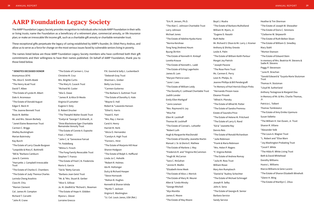### **\* DENOTES DECEASED DONOR** Anonymous (874) \*Ms. Alice E. Smith-Abaté \*The Henry Acad Trust David T. Albee \*The Estate of Lynda M. Albert Dale A. Arceneaux \*The Estate of Donald August Edgar E. Beck III \*The Joanne Bennett Trust Rosie M. Bethke Mr. and Mrs. Steven Borbely \*Janet Elaine Bowerman Trust Carmen C. Briggs Shelley Buckingham Marian Bukrinsky Kay Burch \*The Estate of Larry Claude Burgoon \*Leopoldo & Mary E. Buttinelli \*Bill & \*Barbara Camburn Jane D. Caminis \*Harryette J. Campbell Irrevocable Trust \*The Estate of Charles E. Chambers \*The Estate of Judy Theresa Charles Lorinda Cheng Arashiro Clara M. Chiu \*Marion Clement Col. James M. Compton Richard T. Corvetti \*John R. Crane

\*The Estate of Carmen L. Cruz Christine M. Cruz Mrs. Brigitte Curtis \*The Mary K. Cusack Trust \*Richard W. Custer \*Aila G. Dawe \*James R. & Alice Di Meolo Virginia D'Lamatter Eugene V. Doty D. Robert Drucker \*The Theophil Walter Dusek Trust \*Evelyn & \*George F. Eckhardt, Jr. \*Dixie Blackstone Eger Charitable Remainder Annuity Trust \*The Estate of Connie A. Esposito Fred J. Fahlen \*John C. & \*Genevieve Fairval \*H. Feidelberg \*Wilma S. Firsich \*The Fong Family Revocable Trust Stephen T. Franco \*The Estate of Fred C.N. Fredericks Mario G. Garcia \*Sid & \*Betty Garvais \*Barbara Joan Geist Trust \*Mr. & \*Mrs. Stuart B. Gerber \*Alice S. Gillisse Jo. M. Gledhill & \*Richard L. Bowman \*The Estate of Hope H. Glidden Myona L. Glover Lorraine Gnecco

P.K. Govind & Sally L. Luckenbach \*Deborah Gray Trust Sharman L. Greber Betty Lou Gross \*Carmen Gutierrez \*The Barbara S. Guttman Trust \*The Estate of Dorothy G. Hale \*Wayne O. Hall Robert & \*Lawanda Hanson \*Ethel G. Harris \*Hazel E. Hart \*Mrs. Ray J. Harvie Carol A. Henry Harriet M. Herb \*Alicia O. Hernandez \*Carolyn A. High Trust \*Forrest L. Hirst \*The Estate of Marjorie Hill Hoar Sharon Hodgson \*The Estate of Rolph S. Hofflund Linda Jo C. Hoholik \*Robert R. Holmes Ida M. Holtsinger Dulcy & Richard Hooper \*Steve Hornacek \*Mahon B. Hughes Kenneth & Sharon Ishida \*Myrtle T. Jackson Virginia E. Washington \*Lt. Col. Louis Janos, USA (Ret.)

## **AARP Foundation Legacy Society**

The AARP Foundation Legacy Society provides recognition to individuals who include AARP Foundation in their wills or living trusts; name the Foundation as a beneficiary of a retirement plan, commercial annuity, or life insurance plan; or make an irrevocable life income gift, such as a charitable gift annuity or charitable remainder trust.

These exceptional gifts perpetuate the legacy of caring established by AARP's founder, Dr. Ethel Percy Andrus, and allow us to serve as a force for change on the most serious issues faced by vulnerable seniors living in poverty.

The names listed below are those AARP Foundation Legacy Society members who have confirmed both their gift commitments and their willingness to have their names published. On behalf of AARP Foundation, thank you to those listed below.

\*Eric R. Jensen, Ph.D. \*The Alan C. Johnson Charitable Trust Larry Johnson Michael Jones \*The Estate of Adeline Kyoko Kano \*Norma Kershaw Tong Yong (Andrew) Keum Byung Ok Kim \*The Estate of Kenneth H. Kintopf Loretta Krause \*The Estate of Kenneth L. Ladd \*The Estate of Erling Lagerholm James B. Lam \*Maryon Patricia Lears \*June I. Lees \*The Estate of William Leidy \*The Dorothy E. Leithead Charitable Trust Judith Lender Emily Ellen Markgraf \*Janis Lewison \*Rev. Raymond A. Ley \*Miss Pat Ellen M. Lockhoff Thomas W. Lockhoff \*The Estate of Conrad L. Lohoefer \*Robert Luth Hugh & Marguerite MacDonald \*The Estate of Dorothy Jeanette Martin Manuel J. Sr. & Gloria E. Mathew \*The Estate of Marlene J. May \*Frederick R. and \*Virginia McCammon \*Hugh W. McCarron \*Sara C. McGahan \*Jennie R. Medlin \*Elizabeth Anne Meek \*The Estate of Alice J. Merrick \*The Estate of Mary M. Meurer Allen & \*Linda Minsky \*George Mitchell \*Alys Monitto James E. Moore \*The Estate of May Moore

Boyd J. Mudra \*The Estate of Barbara Mulholland William M. Myers, Jr. \*Eugene D. Nasatir Ruth Nolte Mr. Richard V. Olson & Mr. Larry J. Kramer Anthony & Shirley Onesto Leslie A. Palm \*The Estate of William Keith Parlour Margot Joy Patrick \*Joseph Pavone \*The Rose Penn Trust Ms. Carmen E. Perry Leon N. Phelps, Sr. Jeanne Phillips & Bill Pendergraft \*In Memory of Karl Herrick Elwyn Pinks \*Hernando Pinzon-Isaza Eleanor Pirozek \*Alfred A. Plonsky \*The Estate of Alfred W. Potter \*The Estate of Sandra Premrou Estate of Saundra Price \*The Estate of Helene M. Pritchard \*The Estate of Larry G. Rand \*Ed & \*Jeanette Ray Dennis Reis \*The Estate of Ronald Richardson \*Julie Robinson \*Frank & Maria Robinson \*Mrs. Helen P. Rogers \*F. Virginia Rohde \*The Estate of Andrew Romay \*Julia M. Ross Trust William Rowe Mary Ann Rumplasch \*Daniel & \*Audrey Schechter \*The Estate of Michael Schinagel Joseph R. Selby John A. Sena \*The Estate of Georgia B. Senior Barbara Service Sandy Service

Heather & Tim Sherman

\*The Estate of Joseph W. Showalter

\*The Estate of Doris C. Simmons \*Claiborne W. Skipworth \*The Estate of Ruth Belton Sloan \*The Estate of William O. Smedley Mary Stahl \*Morton Stanson \*The Estate of Edward Stein In memory of Mrs. Beatrice M. Stevens & Sadie R. Stevens Peggy P. Stevenson \*June R. Strachan \*Gerald Edward & \*Guyola Marie Stutzman Trust Thomas H. Stutzman \*Lloyd W. Sutherland Anthony Testagrose & Margaret Dau In Memory of Mr. & Mrs. Charlie Thomas, Jr. Patricia L. Tolbert Thomas Tomkiewicz \*The Estate of Amy Emiko Uyemura Susan Valletta \*The William H. Van Dusen, Jr. Trust Sharon R. Villano \*Alexander Volk \*The Louis A. Wagner Trust \*L. Robert and \*Elise Warn \*Joy Washington Probating Trust \*Cecel F. White \*The Hilda R. White Living Trust Beth & David Whitehead Dorothy Williams Huora L. Williams Marcia Williams & Gene Lucero \*The Estate of Sharon Elizabeth Wineholt \*Glenn H. Wing \*The Estate of Marillyn C. Zilius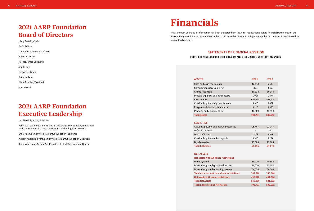#### **STATEMENTS OF FINANCIAL POSITION**

#### **FOR THE YEARS ENDED DECEMBER 31, 2021 AND DECEMBER 31, 2020 (IN THOUSANDS)**

| <b>ASSETS</b>                         | 2021    | 2020    |
|---------------------------------------|---------|---------|
| Cash and cash equivalents             | 12,118  | 6,595   |
| Contributions receivable, net         | 353     | 4,653   |
| Grants receivable                     | 10,328  | 10,344  |
| Prepaid expenses and other assets     | 1,017   | 1,674   |
| <b>Investments</b>                    | 656,865 | 587,745 |
| Charitable gift annuity investments   | 5,928   | 6,072   |
| Program-related investments, net      | 5,113   | 5,925   |
| Property and equipment, net           | 12,009  | 13,554  |
| <b>Total Assets</b>                   | 703,731 | 636,562 |
|                                       |         |         |
| <b>LIABILITIES</b>                    |         |         |
| Accounts payable and accrued expenses | 25,467  | 22,247  |
| Deferred revenue                      |         | 240     |
| Due to affiliates                     | 1,879   | 3,919   |
| Charitable gift annuities payable     | 3,319   | 3,264   |
| Bonds payable                         | 25,000  | 25,000  |
| <b>Total Liabilities</b>              | 55,665  | 54,670  |
|                                       |         |         |

|                  | 58,720  | 44,854  |  |
|------------------|---------|---------|--|
| owment           | 28,070  | 25,492  |  |
| reserves         | 64,256  | 60,500  |  |
| or restrictions: | 151,046 | 130,846 |  |
| ctions           | 497,020 | 451,046 |  |
|                  | 648,066 | 581,892 |  |
| ets              | 703,731 | 636,562 |  |
|                  |         |         |  |

**Net assets without donor restrictions:**  Undesignated Board-designated quasi-end Board-designated operating **Total net assets without don Net assets with donor restrictions Total Net Assets Total Liabilities and Net Asset** 

#### **LIABILITIES**

#### **NET ASSETS**

## **Financials**

This summary of financial information has been extracted from the AARP Foundation audited financial statements for the years ending December 31, 2021 and December 31, 2020, and on which an independent public accounting firm expressed an unmodified opinion.

## **2021 AARP Foundation Board of Directors**

Libby Sartain, Chair David Adame The Honorable Patricia Banks Robert Blancato Margot James Copeland Ann G. Daw Gregory J. Dyson Betty Hudson Diane D. Miller, Vice Chair Susan Werth

## **2021 AARP Foundation Executive Leadership**

Lisa Marsh Ryerson, President

Patricia D. Shannon, Chief Financial Officer and SVP, Strategy, Innovation, Evaluation, Finance, Grants, Operations, Technology and Research

Emily Allen, Senior Vice President, Foundation Programs

William Alvarado Rivera, Senior Vice President, Foundation Litigation

David Whitehead, Senior Vice President & Chief Development Officer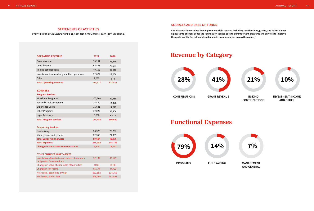#### **SOURCES AND USES OF FUNDS**

**AARP Foundation receives funding from multiple sources, including contributions, grants, and AARP. Almost eighty cents of every dollar the Foundation spends goes to our important programs and services to improve the quality of life for vulnerable older adults in communities across the country.** 

## **Revenue by Category**

## **Functional Expenses**

**IN-KIND CONTRIBUTIONS**



#### **INVESTMENT INCOME AND OTHER**





**AND GENERAL**







#### **STATEMENTS OF ACTIVITIES**

**FOR THE YEARS ENDING DECEMBER 31, 2021 AND DECEMBER 31, 2020 (IN THOUSANDS)**

| <b>OPERATING REVENUE</b>                    | 2021    | 2020    |
|---------------------------------------------|---------|---------|
| Grant revenue                               | 95,294  | 88,336  |
| Contributions                               | 65,833  | 78,537  |
| In-kind contributions                       | 49,158  | 37,910  |
| Investment income designated for operations | 22,027  | 18,056  |
| Other                                       | 2,065   | 674     |
| <b>Total Operating Revenue</b>              | 234,377 | 223,513 |

#### **EXPENSES**

#### **Program Services:**

| <b>Workforce Programs</b>     | 107,760 | 92,459  |
|-------------------------------|---------|---------|
| Tax and Credits Programs      | 16,430  | 14,426  |
| <b>Experience Corps</b>       | 11,631  | 11,627  |
| <b>Other Programs</b>         | 32,029  | 35,806  |
| Legal Advocacy                | 6,608   | 6,372   |
| <b>Total Program Services</b> | 174,458 | 160,690 |

#### **Supporting Services**

| Fundraising                                  | 28,328  | 26,207  |
|----------------------------------------------|---------|---------|
| Management and general                       | 22,366  | 21,869  |
| <b>Total Supporting Services</b>             | 50,694  | 48,076  |
| <b>Total Expenses</b>                        | 225,152 | 208,766 |
| <b>Changes in Net Assets from Operations</b> | 9,225   | 14,747  |

#### **OTHER CHANGES IN NET ASSETS**

| Investments (loss) return in excess of amounts<br>designated for operations | 57,137  | 33,125  |
|-----------------------------------------------------------------------------|---------|---------|
| Changes in value of charitable gift annuities                               | (188)   | (149)   |
| <b>Change in Net Assets</b>                                                 | 66,174  | 47,723  |
| Net Assets, Beginning of Year                                               | 581,892 | 534,169 |
| Net Assets, End of Year                                                     | 648,066 | 581,892 |